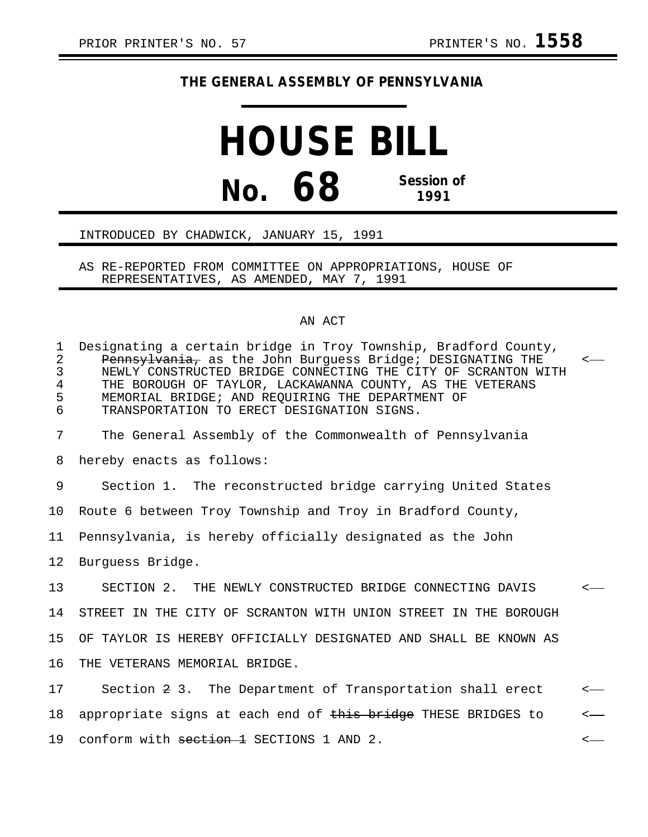## **THE GENERAL ASSEMBLY OF PENNSYLVANIA**

## **HOUSE BILL No. 68 Session of 1991**

## INTRODUCED BY CHADWICK, JANUARY 15, 1991

AS RE-REPORTED FROM COMMITTEE ON APPROPRIATIONS, HOUSE OF REPRESENTATIVES, AS AMENDED, MAY 7, 1991

## AN ACT

| $\mathbf{1}$<br>$\mathbf{2}$<br>3<br>$\overline{4}$<br>5<br>6 | Designating a certain bridge in Troy Township, Bradford County,<br>Pennsylvania, as the John Burguess Bridge; DESIGNATING THE<br>NEWLY CONSTRUCTED BRIDGE CONNECTING THE CITY OF SCRANTON WITH<br>THE BOROUGH OF TAYLOR, LACKAWANNA COUNTY, AS THE VETERANS<br>MEMORIAL BRIDGE; AND REOUIRING THE DEPARTMENT OF<br>TRANSPORTATION TO ERECT DESIGNATION SIGNS. | $\leftarrow$ |
|---------------------------------------------------------------|---------------------------------------------------------------------------------------------------------------------------------------------------------------------------------------------------------------------------------------------------------------------------------------------------------------------------------------------------------------|--------------|
| 7                                                             | The General Assembly of the Commonwealth of Pennsylvania                                                                                                                                                                                                                                                                                                      |              |
| 8                                                             | hereby enacts as follows:                                                                                                                                                                                                                                                                                                                                     |              |
| 9                                                             | Section 1. The reconstructed bridge carrying United States                                                                                                                                                                                                                                                                                                    |              |
| 10 <sup>°</sup>                                               | Route 6 between Troy Township and Troy in Bradford County,                                                                                                                                                                                                                                                                                                    |              |
| 11                                                            | Pennsylvania, is hereby officially designated as the John                                                                                                                                                                                                                                                                                                     |              |
| 12                                                            | Burguess Bridge.                                                                                                                                                                                                                                                                                                                                              |              |
| 13                                                            | SECTION 2. THE NEWLY CONSTRUCTED BRIDGE CONNECTING DAVIS                                                                                                                                                                                                                                                                                                      | $\leftarrow$ |
| 14                                                            | STREET IN THE CITY OF SCRANTON WITH UNION STREET IN THE BOROUGH                                                                                                                                                                                                                                                                                               |              |
| 15                                                            | OF TAYLOR IS HEREBY OFFICIALLY DESIGNATED AND SHALL BE KNOWN AS                                                                                                                                                                                                                                                                                               |              |
| 16                                                            | THE VETERANS MEMORIAL BRIDGE.                                                                                                                                                                                                                                                                                                                                 |              |
| 17                                                            | Section 2 3. The Department of Transportation shall erect                                                                                                                                                                                                                                                                                                     | $\leftarrow$ |
| 18                                                            | appropriate signs at each end of this bridge THESE BRIDGES to                                                                                                                                                                                                                                                                                                 | $\leftarrow$ |

19 conform with section 1 SECTIONS 1 AND 2.